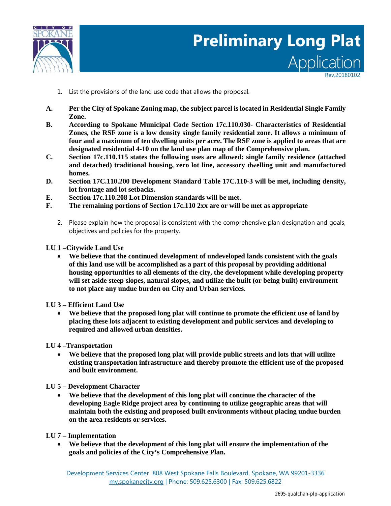

# Application **Preliminary Long Plat**

Rev.20180102

- 1. List the provisions of the land use code that allows the proposal.
- **A. Per the City of Spokane Zoning map, the subject parcel is located in Residential Single Family Zone.**
- **B. According to Spokane Municipal Code Section 17c.110.030- Characteristics of Residential Zones, the RSF zone is a low density single family residential zone. It allows a minimum of four and a maximum of ten dwelling units per acre. The RSF zone is applied to areas that are designated residential 4-10 on the land use plan map of the Comprehensive plan.**
- **C. Section 17c.110.115 states the following uses are allowed: single family residence (attached and detached) traditional housing, zero lot line, accessory dwelling unit and manufactured homes.**
- **D. Section 17C.110.200 Development Standard Table 17C.110-3 will be met, including density, lot frontage and lot setbacks.**
- **E. Section 17c.110.208 Lot Dimension standards will be met.**
- **F. The remaining portions of Section 17c.110 2xx are or will be met as appropriate**
	- 2. Please explain how the proposal is consistent with the comprehensive plan designation and goals, objectives and policies for the property.

**LU 1 –Citywide Land Use**

• **We believe that the continued development of undeveloped lands consistent with the goals of this land use will be accomplished as a part of this proposal by providing additional housing opportunities to all elements of the city, the development while developing property will set aside steep slopes, natural slopes, and utilize the built (or being built) environment to not place any undue burden on City and Urban services.**

**LU 3 – Efficient Land Use**

• **We believe that the proposed long plat will continue to promote the efficient use of land by placing these lots adjacent to existing development and public services and developing to required and allowed urban densities.**

**LU 4 –Transportation**

• **We believe that the proposed long plat will provide public streets and lots that will utilize existing transportation infrastructure and thereby promote the efficient use of the proposed and built environment.**

# **LU 5 – Development Character**

- **We believe that the development of this long plat will continue the character of the developing Eagle Ridge project area by continuing to utilize geographic areas that will maintain both the existing and proposed built environments without placing undue burden on the area residents or services.**
- **LU 7 – Implementation**
	- **We believe that the development of this long plat will ensure the implementation of the goals and policies of the City's Comprehensive Plan.**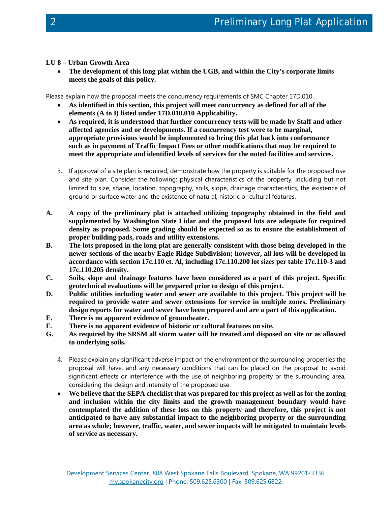# **LU 8 – Urban Growth Area**

• **The development of this long plat within the UGB, and within the City's corporate limits meets the goals of this policy.**

Please explain how the proposal meets the concurrency requirements of SMC Chapter 17D.010.

- **As identified in this section, this project will meet concurrency as defined for all of the elements (A to I) listed under 17D.010.010 Applicability.**
- **As required, it is understood that further concurrency tests will be made by Staff and other affected agencies and or developments. If a concurrency test were to be marginal, appropriate provisions would be implemented to bring this plat back into conformance such as in payment of Traffic Impact Fees or other modifications that may be required to meet the appropriate and identified levels of services for the noted facilities and services.**
- 3. If approval of a site plan is required, demonstrate how the property is suitable for the proposed use and site plan. Consider the following: physical characteristics of the property, including but not limited to size, shape, location, topography, soils, slope, drainage characteristics, the existence of ground or surface water and the existence of natural, historic or cultural features.
- **A. A copy of the preliminary plat is attached utilizing topography obtained in the field and supplemented by Washington State Lidar and the proposed lots are adequate for required density as proposed. Some grading should be expected so as to ensure the establishment of proper building pads, roads and utility extensions.**
- **B. The lots proposed in the long plat are generally consistent with those being developed in the newer sections of the nearby Eagle Ridge Subdivision; however, all lots will be developed in accordance with section 17c.110 et. Al, including 17c.110.200 lot sizes per table 17c.110-3 and 17c.110.205 density.**
- **C. Soils, slope and drainage features have been considered as a part of this project. Specific geotechnical evaluations will be prepared prior to design of this project.**
- **D. Public utilities including water and sewer are available to this project. This project will be required to provide water and sewer extensions for service in multiple zones. Preliminary design reports for water and sewer have been prepared and are a part of this application.**
- **E. There is no apparent evidence of groundwater.**
- **F. There is no apparent evidence of historic or cultural features on site.**
- **G. As required by the SRSM all storm water will be treated and disposed on site or as allowed to underlying soils.**
	- 4. Please explain any significant adverse impact on the environment or the surrounding properties the proposal will have, and any necessary conditions that can be placed on the proposal to avoid significant effects or interference with the use of neighboring property or the surrounding area, considering the design and intensity of the proposed use.
	- **We believe that the SEPA checklist that was prepared for this project as well as for the zoning and inclusion within the city limits and the growth management boundary would have contemplated the addition of these lots on this property and therefore, this project is not anticipated to have any substantial impact to the neighboring property or the surrounding area as whole; however, traffic, water, and sewer impacts will be mitigated to maintain levels of service as necessary.**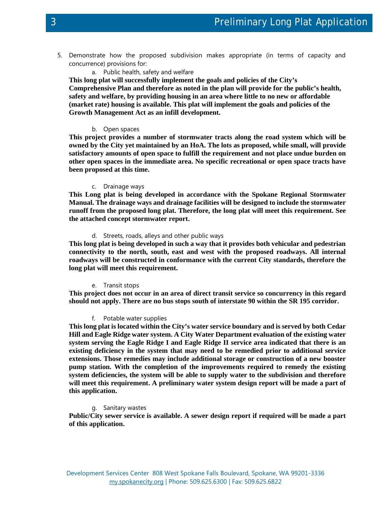- 5. Demonstrate how the proposed subdivision makes appropriate (in terms of capacity and concurrence) provisions for:
	- a. Public health, safety and welfare

**This long plat will successfully implement the goals and policies of the City's Comprehensive Plan and therefore as noted in the plan will provide for the public's health, safety and welfare, by providing housing in an area where little to no new or affordable (market rate) housing is available. This plat will implement the goals and policies of the Growth Management Act as an infill development.**

## b. Open spaces

**This project provides a number of stormwater tracts along the road system which will be owned by the City yet maintained by an HoA. The lots as proposed, while small, will provide satisfactory amounts of open space to fulfill the requirement and not place undue burden on other open spaces in the immediate area. No specific recreational or open space tracts have been proposed at this time.** 

## c. Drainage ways

**This Long plat is being developed in accordance with the Spokane Regional Stormwater Manual. The drainage ways and drainage facilities will be designed to include the stormwater runoff from the proposed long plat. Therefore, the long plat will meet this requirement. See the attached concept stormwater report.**

# d. Streets, roads, alleys and other public ways

**This long plat is being developed in such a way that it provides both vehicular and pedestrian connectivity to the north, south, east and west with the proposed roadways. All internal roadways will be constructed in conformance with the current City standards, therefore the long plat will meet this requirement.**

#### e. Transit stops

**This project does not occur in an area of direct transit service so concurrency in this regard should not apply. There are no bus stops south of interstate 90 within the SR 195 corridor.**

# f. Potable water supplies

**This long plat is located within the City's water service boundary and is served by both Cedar Hill and Eagle Ridge water system. A City Water Department evaluation of the existing water system serving the Eagle Ridge I and Eagle Ridge II service area indicated that there is an existing deficiency in the system that may need to be remedied prior to additional service extensions. Those remedies may include additional storage or construction of a new booster pump station. With the completion of the improvements required to remedy the existing system deficiencies, the system will be able to supply water to the subdivision and therefore will meet this requirement. A preliminary water system design report will be made a part of this application.**

# g. Sanitary wastes

**Public/City sewer service is available. A sewer design report if required will be made a part of this application.**